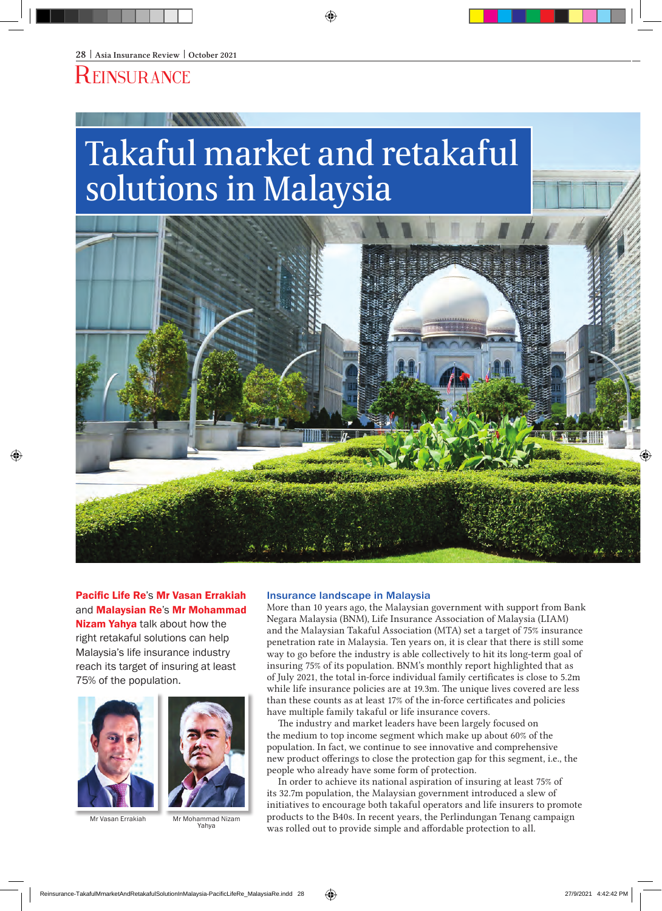## **REINSURANCE**

# Takaful market and retakaful solutions in Malaysia



Pacific Life Re's Mr Vasan Errakiah and Malaysian Re's Mr Mohammad Nizam Yahya talk about how the right retakaful solutions can help Malaysia's life insurance industry reach its target of insuring at least 75% of the population.



Mr Vasan Errakiah Mr Mohammad Nizam Yahya

#### Insurance landscape in Malaysia

More than 10 years ago, the Malaysian government with support from Bank Negara Malaysia (BNM), Life Insurance Association of Malaysia (LIAM) and the Malaysian Takaful Association (MTA) set a target of 75% insurance penetration rate in Malaysia. Ten years on, it is clear that there is still some way to go before the industry is able collectively to hit its long-term goal of insuring 75% of its population. BNM's monthly report highlighted that as of July 2021, the total in-force individual family certificates is close to 5.2m while life insurance policies are at 19.3m. The unique lives covered are less than these counts as at least 17% of the in-force certificates and policies have multiple family takaful or life insurance covers.

The industry and market leaders have been largely focused on the medium to top income segment which make up about 60% of the population. In fact, we continue to see innovative and comprehensive new product offerings to close the protection gap for this segment, i.e., the people who already have some form of protection.

In order to achieve its national aspiration of insuring at least 75% of its 32.7m population, the Malaysian government introduced a slew of initiatives to encourage both takaful operators and life insurers to promote products to the B40s. In recent years, the Perlindungan Tenang campaign was rolled out to provide simple and affordable protection to all.